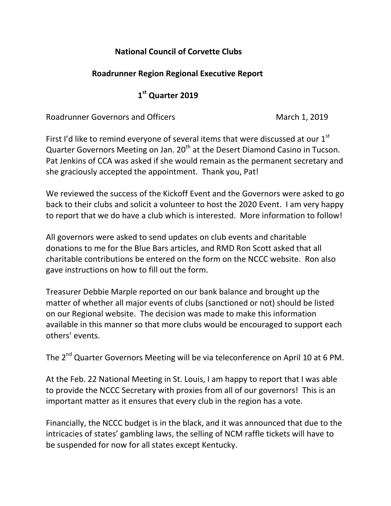## **National Council of Corvette Clubs**

## **Roadrunner Region Regional Executive Report**

## **1 st Quarter 2019**

Roadrunner Governors and Officers March 1, 2019

First I'd like to remind everyone of several items that were discussed at our  $1<sup>st</sup>$ Quarter Governors Meeting on Jan. 20<sup>th</sup> at the Desert Diamond Casino in Tucson. Pat Jenkins of CCA was asked if she would remain as the permanent secretary and she graciously accepted the appointment. Thank you, Pat!

We reviewed the success of the Kickoff Event and the Governors were asked to go back to their clubs and solicit a volunteer to host the 2020 Event. I am very happy to report that we do have a club which is interested. More information to follow!

All governors were asked to send updates on club events and charitable donations to me for the Blue Bars articles, and RMD Ron Scott asked that all charitable contributions be entered on the form on the NCCC website. Ron also gave instructions on how to fill out the form.

Treasurer Debbie Marple reported on our bank balance and brought up the matter of whether all major events of clubs (sanctioned or not) should be listed on our Regional website. The decision was made to make this information available in this manner so that more clubs would be encouraged to support each others' events.

The 2<sup>nd</sup> Quarter Governors Meeting will be via teleconference on April 10 at 6 PM.

At the Feb. 22 National Meeting in St. Louis, I am happy to report that I was able to provide the NCCC Secretary with proxies from all of our governors! This is an important matter as it ensures that every club in the region has a vote.

Financially, the NCCC budget is in the black, and it was announced that due to the intricacies of states' gambling laws, the selling of NCM raffle tickets will have to be suspended for now for all states except Kentucky.